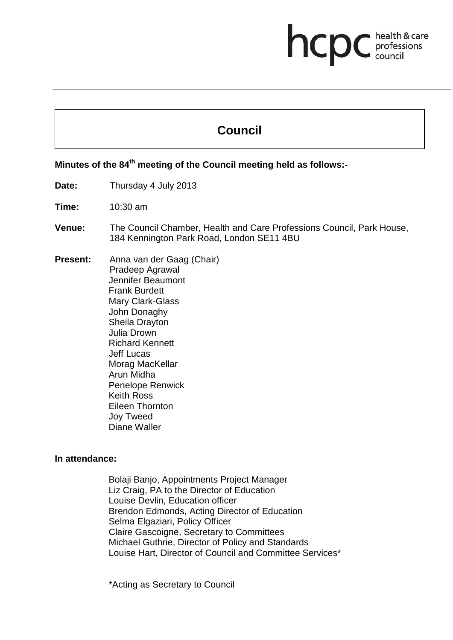# **health & care**

# **Council**

**Minutes of the 78th meeting of the Health Professions Council held as follows:-**

**Minutes of the 84th meeting of the Council meeting held as follows:-**

**Date:** Thursday 4 July 2013

**Time:** 10:30 am

**Venue:** The Council Chamber, Health and Care Professions Council, Park House, 184 Kennington Park Road, London SE11 4BU

**Present:** Anna van der Gaag (Chair) Pradeep Agrawal Jennifer Beaumont Frank Burdett Mary Clark-Glass John Donaghy Sheila Drayton Julia Drown Richard Kennett Jeff Lucas Morag MacKellar Arun Midha Penelope Renwick Keith Ross Eileen Thornton Joy Tweed Diane Waller

#### **In attendance:**

Bolaji Banjo, Appointments Project Manager Liz Craig, PA to the Director of Education Louise Devlin, Education officer Brendon Edmonds, Acting Director of Education Selma Elgaziari, Policy Officer Claire Gascoigne, Secretary to Committees Michael Guthrie, Director of Policy and Standards Louise Hart, Director of Council and Committee Services\*

\*Acting as Secretary to Council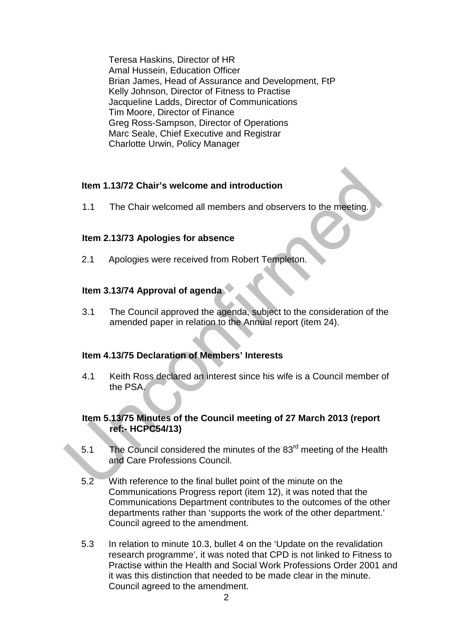Teresa Haskins, Director of HR Amal Hussein, Education Officer Brian James, Head of Assurance and Development, FtP Kelly Johnson, Director of Fitness to Practise Jacqueline Ladds, Director of Communications Tim Moore, Director of Finance Greg Ross-Sampson, Director of Operations Marc Seale, Chief Executive and Registrar Charlotte Urwin, Policy Manager

# **Item 1.13/72 Chair's welcome and introduction**

1.1 The Chair welcomed all members and observers to the meeting.

# **Item 2.13/73 Apologies for absence**

2.1 Apologies were received from Robert Templeton.

# **Item 3.13/74 Approval of agenda**

3.1 The Council approved the agenda, subject to the consideration of the amended paper in relation to the Annual report (item 24).

# **Item 4.13/75 Declaration of Members' Interests**

4.1 Keith Ross declared an interest since his wife is a Council member of the PSA.

# **Item 5.13/75 Minutes of the Council meeting of 27 March 2013 (report ref:- HCPC54/13)**

- 5.1 The Council considered the minutes of the 83<sup>rd</sup> meeting of the Health and Care Professions Council.
- 5.2 With reference to the final bullet point of the minute on the Communications Progress report (item 12), it was noted that the Communications Department contributes to the outcomes of the other departments rather than 'supports the work of the other department.' Council agreed to the amendment.
- 5.3 In relation to minute 10.3, bullet 4 on the 'Update on the revalidation research programme', it was noted that CPD is not linked to Fitness to Practise within the Health and Social Work Professions Order 2001 and it was this distinction that needed to be made clear in the minute. Council agreed to the amendment.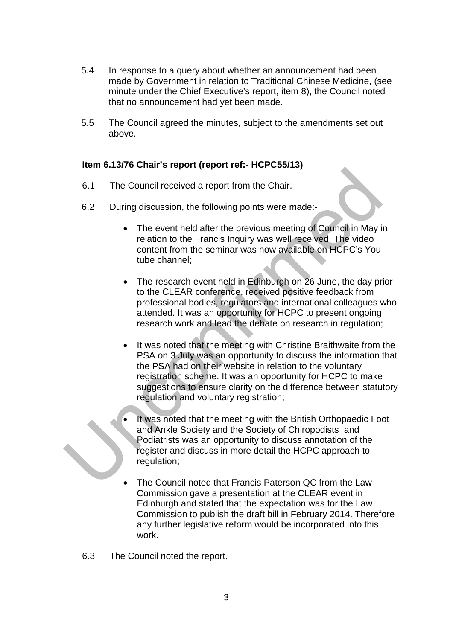- 5.4 In response to a query about whether an announcement had been made by Government in relation to Traditional Chinese Medicine, (see minute under the Chief Executive's report, item 8), the Council noted that no announcement had yet been made.
- 5.5 The Council agreed the minutes, subject to the amendments set out above.

# **Item 6.13/76 Chair's report (report ref:- HCPC55/13)**

- 6.1 The Council received a report from the Chair.
- 6.2 During discussion, the following points were made:-
	- The event held after the previous meeting of Council in May in relation to the Francis Inquiry was well received. The video content from the seminar was now available on HCPC's You tube channel;
	- The research event held in Edinburgh on 26 June, the day prior to the CLEAR conference, received positive feedback from professional bodies, regulators and international colleagues who attended. It was an opportunity for HCPC to present ongoing research work and lead the debate on research in regulation;
	- It was noted that the meeting with Christine Braithwaite from the PSA on 3 July was an opportunity to discuss the information that the PSA had on their website in relation to the voluntary registration scheme. It was an opportunity for HCPC to make suggestions to ensure clarity on the difference between statutory regulation and voluntary registration;
	- It was noted that the meeting with the British Orthopaedic Foot and Ankle Society and the Society of Chiropodists and Podiatrists was an opportunity to discuss annotation of the register and discuss in more detail the HCPC approach to regulation;
	- The Council noted that Francis Paterson QC from the Law Commission gave a presentation at the CLEAR event in Edinburgh and stated that the expectation was for the Law Commission to publish the draft bill in February 2014. Therefore any further legislative reform would be incorporated into this work.
- 6.3 The Council noted the report.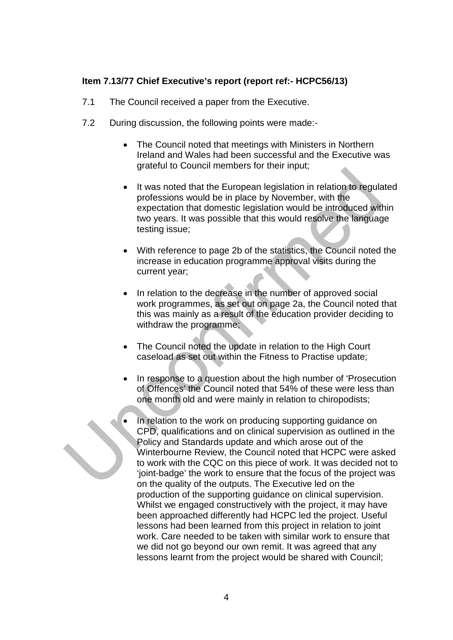# **Item 7.13/77 Chief Executive's report (report ref:- HCPC56/13)**

- 7.1 The Council received a paper from the Executive.
- 7.2 During discussion, the following points were made:-
	- The Council noted that meetings with Ministers in Northern Ireland and Wales had been successful and the Executive was grateful to Council members for their input;
	- It was noted that the European legislation in relation to regulated professions would be in place by November, with the expectation that domestic legislation would be introduced within two years. It was possible that this would resolve the language testing issue;
	- With reference to page 2b of the statistics, the Council noted the increase in education programme approval visits during the current year;
	- In relation to the decrease in the number of approved social work programmes, as set out on page 2a, the Council noted that this was mainly as a result of the education provider deciding to withdraw the programme;
	- The Council noted the update in relation to the High Court caseload as set out within the Fitness to Practise update;
	- In response to a question about the high number of 'Prosecution of Offences' the Council noted that 54% of these were less than one month old and were mainly in relation to chiropodists;
	- In relation to the work on producing supporting guidance on CPD, qualifications and on clinical supervision as outlined in the Policy and Standards update and which arose out of the Winterbourne Review, the Council noted that HCPC were asked to work with the CQC on this piece of work. It was decided not to 'joint-badge' the work to ensure that the focus of the project was on the quality of the outputs. The Executive led on the production of the supporting guidance on clinical supervision. Whilst we engaged constructively with the project, it may have been approached differently had HCPC led the project. Useful lessons had been learned from this project in relation to joint work. Care needed to be taken with similar work to ensure that we did not go beyond our own remit. It was agreed that any lessons learnt from the project would be shared with Council;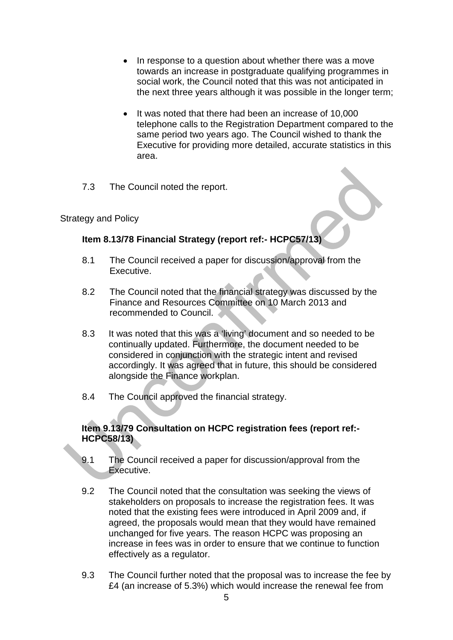- In response to a question about whether there was a move towards an increase in postgraduate qualifying programmes in social work, the Council noted that this was not anticipated in the next three years although it was possible in the longer term;
- It was noted that there had been an increase of 10,000 telephone calls to the Registration Department compared to the same period two years ago. The Council wished to thank the Executive for providing more detailed, accurate statistics in this area.
- 7.3 The Council noted the report.

# Strategy and Policy

# **Item 8.13/78 Financial Strategy (report ref:- HCPC57/13)**

- 8.1 The Council received a paper for discussion/approval from the Executive.
- 8.2 The Council noted that the financial strategy was discussed by the Finance and Resources Committee on 10 March 2013 and recommended to Council.
- 8.3 It was noted that this was a 'living' document and so needed to be continually updated. Furthermore, the document needed to be considered in conjunction with the strategic intent and revised accordingly. It was agreed that in future, this should be considered alongside the Finance workplan.
- 8.4 The Council approved the financial strategy.

# **Item 9.13/79 Consultation on HCPC registration fees (report ref:- HCPC58/13)**

- 9.1 The Council received a paper for discussion/approval from the Executive.
- 9.2 The Council noted that the consultation was seeking the views of stakeholders on proposals to increase the registration fees. It was noted that the existing fees were introduced in April 2009 and, if agreed, the proposals would mean that they would have remained unchanged for five years. The reason HCPC was proposing an increase in fees was in order to ensure that we continue to function effectively as a regulator.
- 9.3 The Council further noted that the proposal was to increase the fee by £4 (an increase of 5.3%) which would increase the renewal fee from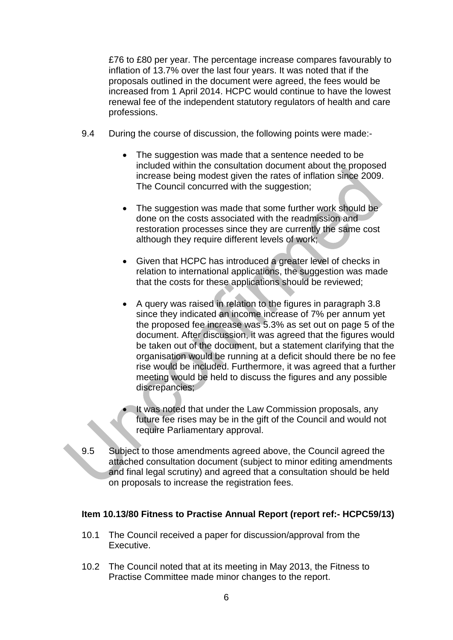£76 to £80 per year. The percentage increase compares favourably to inflation of 13.7% over the last four years. It was noted that if the proposals outlined in the document were agreed, the fees would be increased from 1 April 2014. HCPC would continue to have the lowest renewal fee of the independent statutory regulators of health and care professions.

- 9.4 During the course of discussion, the following points were made:-
	- The suggestion was made that a sentence needed to be included within the consultation document about the proposed increase being modest given the rates of inflation since 2009. The Council concurred with the suggestion;
	- The suggestion was made that some further work should be done on the costs associated with the readmission and restoration processes since they are currently the same cost although they require different levels of work;
	- Given that HCPC has introduced a greater level of checks in relation to international applications, the suggestion was made that the costs for these applications should be reviewed;
	- A query was raised in relation to the figures in paragraph 3.8 since they indicated an income increase of 7% per annum yet the proposed fee increase was 5.3% as set out on page 5 of the document. After discussion, it was agreed that the figures would be taken out of the document, but a statement clarifying that the organisation would be running at a deficit should there be no fee rise would be included. Furthermore, it was agreed that a further meeting would be held to discuss the figures and any possible discrepancies;
	- It was noted that under the Law Commission proposals, any future fee rises may be in the gift of the Council and would not require Parliamentary approval.
- 9.5 Subject to those amendments agreed above, the Council agreed the attached consultation document (subject to minor editing amendments and final legal scrutiny) and agreed that a consultation should be held on proposals to increase the registration fees.

#### **Item 10.13/80 Fitness to Practise Annual Report (report ref:- HCPC59/13)**

- 10.1 The Council received a paper for discussion/approval from the Executive.
- 10.2 The Council noted that at its meeting in May 2013, the Fitness to Practise Committee made minor changes to the report.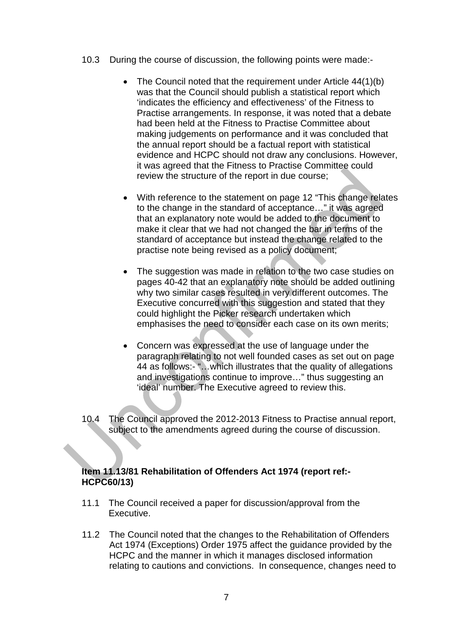- 10.3 During the course of discussion, the following points were made:-
	- The Council noted that the requirement under Article 44(1)(b) was that the Council should publish a statistical report which 'indicates the efficiency and effectiveness' of the Fitness to Practise arrangements. In response, it was noted that a debate had been held at the Fitness to Practise Committee about making judgements on performance and it was concluded that the annual report should be a factual report with statistical evidence and HCPC should not draw any conclusions. However, it was agreed that the Fitness to Practise Committee could review the structure of the report in due course;
	- With reference to the statement on page 12 "This change relates to the change in the standard of acceptance…" it was agreed that an explanatory note would be added to the document to make it clear that we had not changed the bar in terms of the standard of acceptance but instead the change related to the practise note being revised as a policy document;
	- The suggestion was made in relation to the two case studies on pages 40-42 that an explanatory note should be added outlining why two similar cases resulted in very different outcomes. The Executive concurred with this suggestion and stated that they could highlight the Picker research undertaken which emphasises the need to consider each case on its own merits;
	- Concern was expressed at the use of language under the paragraph relating to not well founded cases as set out on page 44 as follows:- "…which illustrates that the quality of allegations and investigations continue to improve…" thus suggesting an 'ideal' number. The Executive agreed to review this.
- 10.4 The Council approved the 2012-2013 Fitness to Practise annual report, subject to the amendments agreed during the course of discussion.

#### **Item 11.13/81 Rehabilitation of Offenders Act 1974 (report ref:- HCPC60/13)**

- 11.1 The Council received a paper for discussion/approval from the Executive.
- 11.2 The Council noted that the changes to the Rehabilitation of Offenders Act 1974 (Exceptions) Order 1975 affect the guidance provided by the HCPC and the manner in which it manages disclosed information relating to cautions and convictions. In consequence, changes need to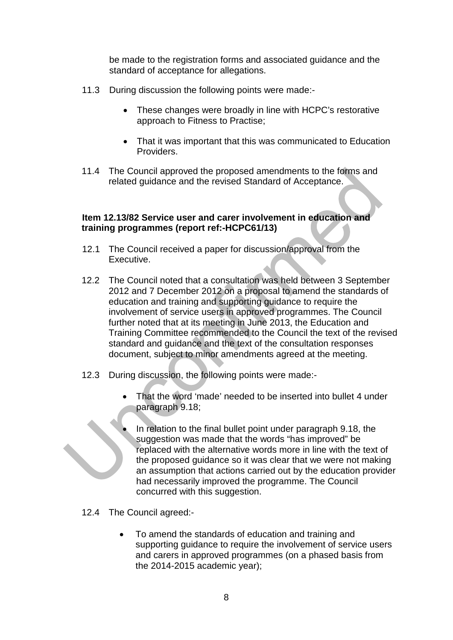be made to the registration forms and associated guidance and the standard of acceptance for allegations.

- 11.3 During discussion the following points were made:-
	- These changes were broadly in line with HCPC's restorative approach to Fitness to Practise;
	- That it was important that this was communicated to Education Providers.
- 11.4 The Council approved the proposed amendments to the forms and related guidance and the revised Standard of Acceptance.

### **Item 12.13/82 Service user and carer involvement in education and training programmes (report ref:-HCPC61/13)**

- 12.1 The Council received a paper for discussion/approval from the Executive.
- 12.2 The Council noted that a consultation was held between 3 September 2012 and 7 December 2012 on a proposal to amend the standards of education and training and supporting guidance to require the involvement of service users in approved programmes. The Council further noted that at its meeting in June 2013, the Education and Training Committee recommended to the Council the text of the revised standard and guidance and the text of the consultation responses document, subject to minor amendments agreed at the meeting.
- 12.3 During discussion, the following points were made:-
	- That the word 'made' needed to be inserted into bullet 4 under paragraph 9.18;
	- In relation to the final bullet point under paragraph 9.18, the suggestion was made that the words "has improved" be replaced with the alternative words more in line with the text of the proposed guidance so it was clear that we were not making an assumption that actions carried out by the education provider had necessarily improved the programme. The Council concurred with this suggestion.
- 12.4 The Council agreed:-
	- To amend the standards of education and training and supporting guidance to require the involvement of service users and carers in approved programmes (on a phased basis from the 2014-2015 academic year);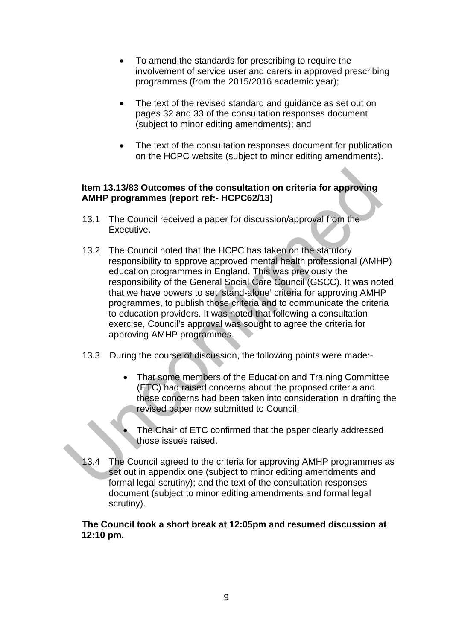- To amend the standards for prescribing to require the involvement of service user and carers in approved prescribing programmes (from the 2015/2016 academic year);
- The text of the revised standard and guidance as set out on pages 32 and 33 of the consultation responses document (subject to minor editing amendments); and
- The text of the consultation responses document for publication on the HCPC website (subject to minor editing amendments).

#### **Item 13.13/83 Outcomes of the consultation on criteria for approving AMHP programmes (report ref:- HCPC62/13)**

- 13.1 The Council received a paper for discussion/approval from the Executive.
- 13.2 The Council noted that the HCPC has taken on the statutory responsibility to approve approved mental health professional (AMHP) education programmes in England. This was previously the responsibility of the General Social Care Council (GSCC). It was noted that we have powers to set 'stand-alone' criteria for approving AMHP programmes, to publish those criteria and to communicate the criteria to education providers. It was noted that following a consultation exercise, Council's approval was sought to agree the criteria for approving AMHP programmes.
- 13.3 During the course of discussion, the following points were made:-
	- That some members of the Education and Training Committee (ETC) had raised concerns about the proposed criteria and these concerns had been taken into consideration in drafting the revised paper now submitted to Council;
	- The Chair of ETC confirmed that the paper clearly addressed those issues raised.
- 13.4 The Council agreed to the criteria for approving AMHP programmes as set out in appendix one (subject to minor editing amendments and formal legal scrutiny); and the text of the consultation responses document (subject to minor editing amendments and formal legal scrutiny).

**The Council took a short break at 12:05pm and resumed discussion at 12:10 pm.**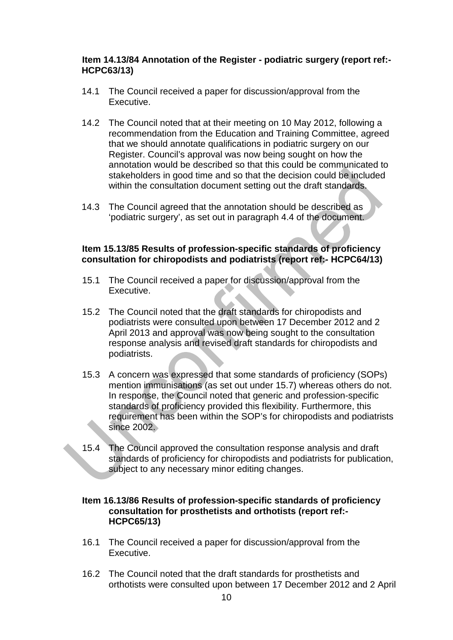#### **Item 14.13/84 Annotation of the Register - podiatric surgery (report ref:- HCPC63/13)**

- 14.1 The Council received a paper for discussion/approval from the Executive.
- 14.2 The Council noted that at their meeting on 10 May 2012, following a recommendation from the Education and Training Committee, agreed that we should annotate qualifications in podiatric surgery on our Register. Council's approval was now being sought on how the annotation would be described so that this could be communicated to stakeholders in good time and so that the decision could be included within the consultation document setting out the draft standards.
- 14.3 The Council agreed that the annotation should be described as 'podiatric surgery', as set out in paragraph 4.4 of the document.

### **Item 15.13/85 Results of profession-specific standards of proficiency consultation for chiropodists and podiatrists (report ref:- HCPC64/13)**

- 15.1 The Council received a paper for discussion/approval from the Executive.
- 15.2 The Council noted that the draft standards for chiropodists and podiatrists were consulted upon between 17 December 2012 and 2 April 2013 and approval was now being sought to the consultation response analysis and revised draft standards for chiropodists and podiatrists.
- 15.3 A concern was expressed that some standards of proficiency (SOPs) mention immunisations (as set out under 15.7) whereas others do not. In response, the Council noted that generic and profession-specific standards of proficiency provided this flexibility. Furthermore, this requirement has been within the SOP's for chiropodists and podiatrists since 2002.
- 15.4 The Council approved the consultation response analysis and draft standards of proficiency for chiropodists and podiatrists for publication, subject to any necessary minor editing changes.

# **Item 16.13/86 Results of profession-specific standards of proficiency consultation for prosthetists and orthotists (report ref:- HCPC65/13)**

- 16.1 The Council received a paper for discussion/approval from the Executive.
- 16.2 The Council noted that the draft standards for prosthetists and orthotists were consulted upon between 17 December 2012 and 2 April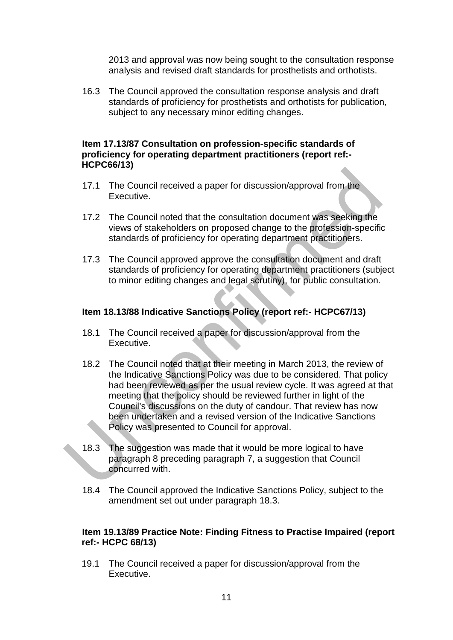2013 and approval was now being sought to the consultation response analysis and revised draft standards for prosthetists and orthotists.

16.3 The Council approved the consultation response analysis and draft standards of proficiency for prosthetists and orthotists for publication, subject to any necessary minor editing changes.

#### **Item 17.13/87 Consultation on profession-specific standards of proficiency for operating department practitioners (report ref:- HCPC66/13)**

- 17.1 The Council received a paper for discussion/approval from the Executive.
- 17.2 The Council noted that the consultation document was seeking the views of stakeholders on proposed change to the profession-specific standards of proficiency for operating department practitioners.
- 17.3 The Council approved approve the consultation document and draft standards of proficiency for operating department practitioners (subject to minor editing changes and legal scrutiny), for public consultation.

### **Item 18.13/88 Indicative Sanctions Policy (report ref:- HCPC67/13)**

- 18.1 The Council received a paper for discussion/approval from the Executive.
- 18.2 The Council noted that at their meeting in March 2013, the review of the Indicative Sanctions Policy was due to be considered. That policy had been reviewed as per the usual review cycle. It was agreed at that meeting that the policy should be reviewed further in light of the Council's discussions on the duty of candour. That review has now been undertaken and a revised version of the Indicative Sanctions Policy was presented to Council for approval.
- 18.3 The suggestion was made that it would be more logical to have paragraph 8 preceding paragraph 7, a suggestion that Council concurred with.
- 18.4 The Council approved the Indicative Sanctions Policy, subject to the amendment set out under paragraph 18.3.

#### **Item 19.13/89 Practice Note: Finding Fitness to Practise Impaired (report ref:- HCPC 68/13)**

19.1 The Council received a paper for discussion/approval from the Executive.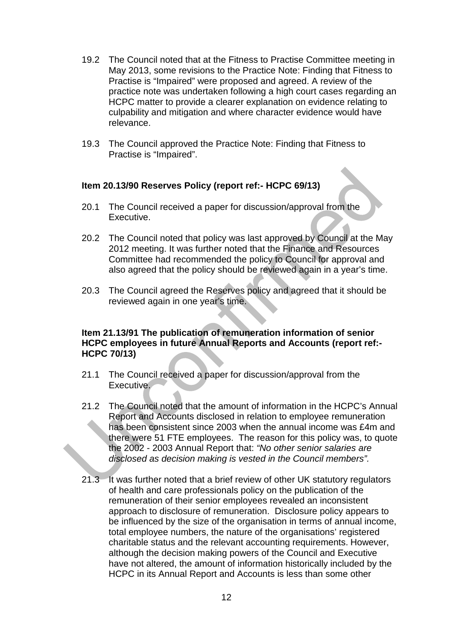- 19.2 The Council noted that at the Fitness to Practise Committee meeting in May 2013, some revisions to the Practice Note: Finding that Fitness to Practise is "Impaired" were proposed and agreed. A review of the practice note was undertaken following a high court cases regarding an HCPC matter to provide a clearer explanation on evidence relating to culpability and mitigation and where character evidence would have relevance.
- 19.3 The Council approved the Practice Note: Finding that Fitness to Practise is "Impaired".

#### **Item 20.13/90 Reserves Policy (report ref:- HCPC 69/13)**

- 20.1 The Council received a paper for discussion/approval from the Executive.
- 20.2 The Council noted that policy was last approved by Council at the May 2012 meeting. It was further noted that the Finance and Resources Committee had recommended the policy to Council for approval and also agreed that the policy should be reviewed again in a year's time.
- 20.3 The Council agreed the Reserves policy and agreed that it should be reviewed again in one year's time.

#### **Item 21.13/91 The publication of remuneration information of senior HCPC employees in future Annual Reports and Accounts (report ref:- HCPC 70/13)**

- 21.1 The Council received a paper for discussion/approval from the Executive.
- 21.2 The Council noted that the amount of information in the HCPC's Annual Report and Accounts disclosed in relation to employee remuneration has been consistent since 2003 when the annual income was £4m and there were 51 FTE employees. The reason for this policy was, to quote the 2002 - 2003 Annual Report that: *"No other senior salaries are disclosed as decision making is vested in the Council members".*
- 21.3 It was further noted that a brief review of other UK statutory regulators of health and care professionals policy on the publication of the remuneration of their senior employees revealed an inconsistent approach to disclosure of remuneration. Disclosure policy appears to be influenced by the size of the organisation in terms of annual income, total employee numbers, the nature of the organisations' registered charitable status and the relevant accounting requirements. However, although the decision making powers of the Council and Executive have not altered, the amount of information historically included by the HCPC in its Annual Report and Accounts is less than some other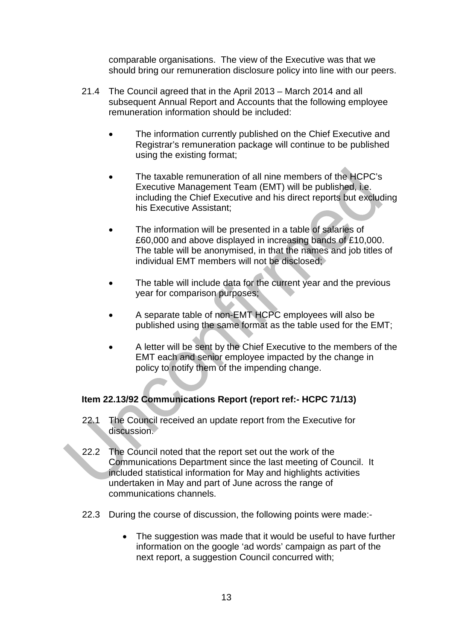comparable organisations. The view of the Executive was that we should bring our remuneration disclosure policy into line with our peers.

- 21.4 The Council agreed that in the April 2013 March 2014 and all subsequent Annual Report and Accounts that the following employee remuneration information should be included:
	- The information currently published on the Chief Executive and Registrar's remuneration package will continue to be published using the existing format;
	- The taxable remuneration of all nine members of the HCPC's Executive Management Team (EMT) will be published, i.e. including the Chief Executive and his direct reports but excluding his Executive Assistant;
	- The information will be presented in a table of salaries of £60,000 and above displayed in increasing bands of £10,000. The table will be anonymised, in that the names and job titles of individual EMT members will not be disclosed;
	- The table will include data for the current year and the previous year for comparison purposes;
	- A separate table of non-EMT HCPC employees will also be published using the same format as the table used for the EMT;
	- A letter will be sent by the Chief Executive to the members of the EMT each and senior employee impacted by the change in policy to notify them of the impending change.

# **Item 22.13/92 Communications Report (report ref:- HCPC 71/13)**

- 22.1 The Council received an update report from the Executive for discussion.
- 22.2 The Council noted that the report set out the work of the Communications Department since the last meeting of Council. It included statistical information for May and highlights activities undertaken in May and part of June across the range of communications channels.
- 22.3 During the course of discussion, the following points were made:-
	- The suggestion was made that it would be useful to have further information on the google 'ad words' campaign as part of the next report, a suggestion Council concurred with;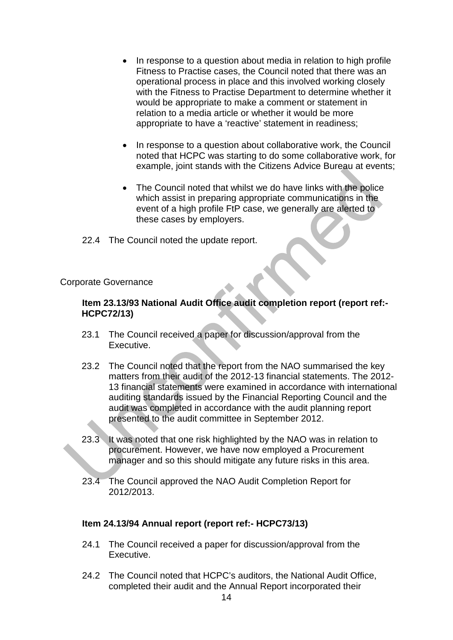- In response to a question about media in relation to high profile Fitness to Practise cases, the Council noted that there was an operational process in place and this involved working closely with the Fitness to Practise Department to determine whether it would be appropriate to make a comment or statement in relation to a media article or whether it would be more appropriate to have a 'reactive' statement in readiness;
- In response to a question about collaborative work, the Council noted that HCPC was starting to do some collaborative work, for example, joint stands with the Citizens Advice Bureau at events;
- The Council noted that whilst we do have links with the police which assist in preparing appropriate communications in the event of a high profile FtP case, we generally are alerted to these cases by employers.
- 22.4 The Council noted the update report.

# Corporate Governance

### **Item 23.13/93 National Audit Office audit completion report (report ref:- HCPC72/13)**

- 23.1 The Council received a paper for discussion/approval from the Executive.
- 23.2 The Council noted that the report from the NAO summarised the key matters from their audit of the 2012-13 financial statements. The 2012- 13 financial statements were examined in accordance with international auditing standards issued by the Financial Reporting Council and the audit was completed in accordance with the audit planning report presented to the audit committee in September 2012.
- 23.3 It was noted that one risk highlighted by the NAO was in relation to procurement. However, we have now employed a Procurement manager and so this should mitigate any future risks in this area.
- 23.4 The Council approved the NAO Audit Completion Report for 2012/2013.

#### **Item 24.13/94 Annual report (report ref:- HCPC73/13)**

- 24.1 The Council received a paper for discussion/approval from the Executive.
- 24.2 The Council noted that HCPC's auditors, the National Audit Office, completed their audit and the Annual Report incorporated their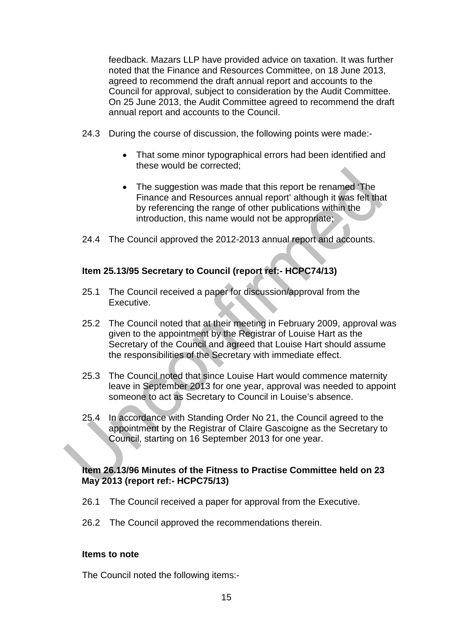feedback. Mazars LLP have provided advice on taxation. It was further noted that the Finance and Resources Committee, on 18 June 2013, agreed to recommend the draft annual report and accounts to the Council for approval, subject to consideration by the Audit Committee. On 25 June 2013, the Audit Committee agreed to recommend the draft annual report and accounts to the Council.

- 24.3 During the course of discussion, the following points were made:-
	- That some minor typographical errors had been identified and these would be corrected;
	- The suggestion was made that this report be renamed 'The Finance and Resources annual report' although it was felt that by referencing the range of other publications within the introduction, this name would not be appropriate;
- 24.4 The Council approved the 2012-2013 annual report and accounts.

# **Item 25.13/95 Secretary to Council (report ref:- HCPC74/13)**

- 25.1 The Council received a paper for discussion/approval from the Executive.
- 25.2 The Council noted that at their meeting in February 2009, approval was given to the appointment by the Registrar of Louise Hart as the Secretary of the Council and agreed that Louise Hart should assume the responsibilities of the Secretary with immediate effect.
- 25.3 The Council noted that since Louise Hart would commence maternity leave in September 2013 for one year, approval was needed to appoint someone to act as Secretary to Council in Louise's absence.
- 25.4 In accordance with Standing Order No 21, the Council agreed to the appointment by the Registrar of Claire Gascoigne as the Secretary to Council, starting on 16 September 2013 for one year.

#### **Item 26.13/96 Minutes of the Fitness to Practise Committee held on 23 May 2013 (report ref:- HCPC75/13)**

- 26.1 The Council received a paper for approval from the Executive.
- 26.2 The Council approved the recommendations therein.

#### **Items to note**

The Council noted the following items:-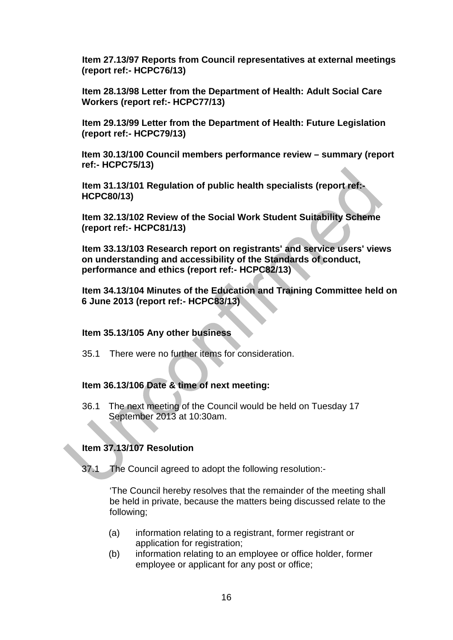**Item 27.13/97 Reports from Council representatives at external meetings (report ref:- HCPC76/13)**

**Item 28.13/98 Letter from the Department of Health: Adult Social Care Workers (report ref:- HCPC77/13)**

**Item 29.13/99 Letter from the Department of Health: Future Legislation (report ref:- HCPC79/13)**

**Item 30.13/100 Council members performance review – summary (report ref:- HCPC75/13)**

**Item 31.13/101 Regulation of public health specialists (report ref:- HCPC80/13)**

**Item 32.13/102 Review of the Social Work Student Suitability Scheme (report ref:- HCPC81/13)**

**Item 33.13/103 Research report on registrants' and service users' views on understanding and accessibility of the Standards of conduct, performance and ethics (report ref:- HCPC82/13)**

**Item 34.13/104 Minutes of the Education and Training Committee held on 6 June 2013 (report ref:- HCPC83/13)**

#### **Item 35.13/105 Any other business**

35.1 There were no further items for consideration.

#### **Item 36.13/106 Date & time of next meeting:**

36.1 The next meeting of the Council would be held on Tuesday 17 September 2013 at 10:30am.

# **Item 37.13/107 Resolution**

37.1 The Council agreed to adopt the following resolution:-

'The Council hereby resolves that the remainder of the meeting shall be held in private, because the matters being discussed relate to the following;

- (a) information relating to a registrant, former registrant or application for registration;
- (b) information relating to an employee or office holder, former employee or applicant for any post or office;